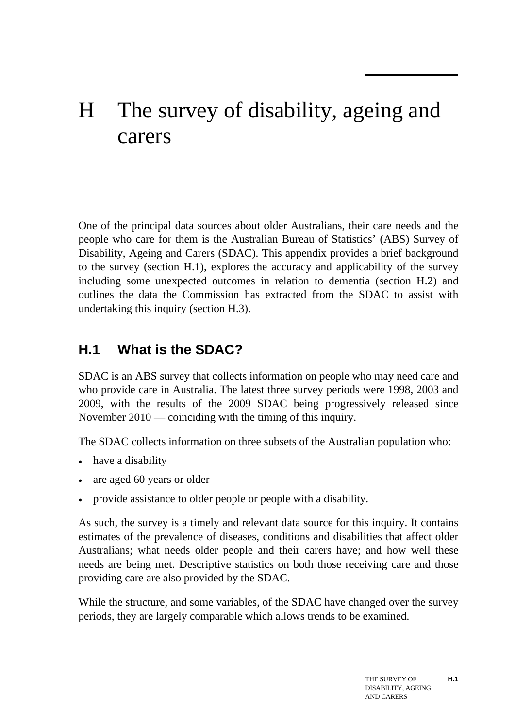# H The survey of disability, ageing and carers

One of the principal data sources about older Australians, their care needs and the people who care for them is the Australian Bureau of Statistics' (ABS) Survey of Disability, Ageing and Carers (SDAC). This appendix provides a brief background to the survey (section H.1), explores the accuracy and applicability of the survey including some unexpected outcomes in relation to dementia (section H.2) and outlines the data the Commission has extracted from the SDAC to assist with undertaking this inquiry (section H.3).

# **H.1 What is the SDAC?**

SDAC is an ABS survey that collects information on people who may need care and who provide care in Australia. The latest three survey periods were 1998, 2003 and 2009, with the results of the 2009 SDAC being progressively released since November 2010 — coinciding with the timing of this inquiry.

The SDAC collects information on three subsets of the Australian population who:

- have a disability
- are aged 60 years or older
- provide assistance to older people or people with a disability.

As such, the survey is a timely and relevant data source for this inquiry. It contains estimates of the prevalence of diseases, conditions and disabilities that affect older Australians; what needs older people and their carers have; and how well these needs are being met. Descriptive statistics on both those receiving care and those providing care are also provided by the SDAC.

<span id="page-0-0"></span>While the structure, and some variables, of the SDAC have changed over the survey periods, they are largely comparable which allows trends to be examined.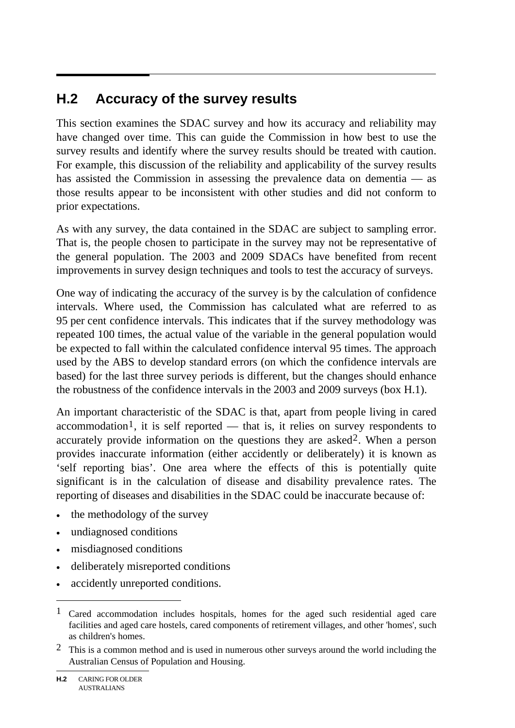# **H.2 Accuracy of the survey results**

This section examines the SDAC survey and how its accuracy and reliability may have changed over time. This can guide the Commission in how best to use the survey results and identify where the survey results should be treated with caution. For example, this discussion of the reliability and applicability of the survey results has assisted the Commission in assessing the prevalence data on dementia — as those results appear to be inconsistent with other studies and did not conform to prior expectations.

As with any survey, the data contained in the SDAC are subject to sampling error. That is, the people chosen to participate in the survey may not be representative of the general population. The 2003 and 2009 SDACs have benefited from recent improvements in survey design techniques and tools to test the accuracy of surveys.

One way of indicating the accuracy of the survey is by the calculation of confidence intervals. Where used, the Commission has calculated what are referred to as 95 per cent confidence intervals. This indicates that if the survey methodology was repeated 100 times, the actual value of the variable in the general population would be expected to fall within the calculated confidence interval 95 times. The approach used by the ABS to develop standard errors (on which the confidence intervals are based) for the last three survey periods is different, but the changes should enhance the robustness of the confidence intervals in the 2003 and 2009 surveys (box H.1).

An important characteristic of the SDAC is that, apart from people living in cared accommodation<sup>[1](#page-0-0)</sup>, it is self reported — that is, it relies on survey respondents to accurately provide information on the questions they are asked[2](#page-1-0). When a person provides inaccurate information (either accidently or deliberately) it is known as 'self reporting bias'. One area where the effects of this is potentially quite significant is in the calculation of disease and disability prevalence rates. The reporting of diseases and disabilities in the SDAC could be inaccurate because of:

- the methodology of the survey
- undiagnosed conditions
- misdiagnosed conditions
- deliberately misreported conditions
- accidently unreported conditions.

1

<span id="page-1-1"></span><sup>1</sup> Cared accommodation includes hospitals, homes for the aged such residential aged care facilities and aged care hostels, cared components of retirement villages, and other 'homes', such as children's homes.

<span id="page-1-0"></span><sup>2</sup> This is a common method and is used in numerous other surveys around the world including the Australian Census of Population and Housing.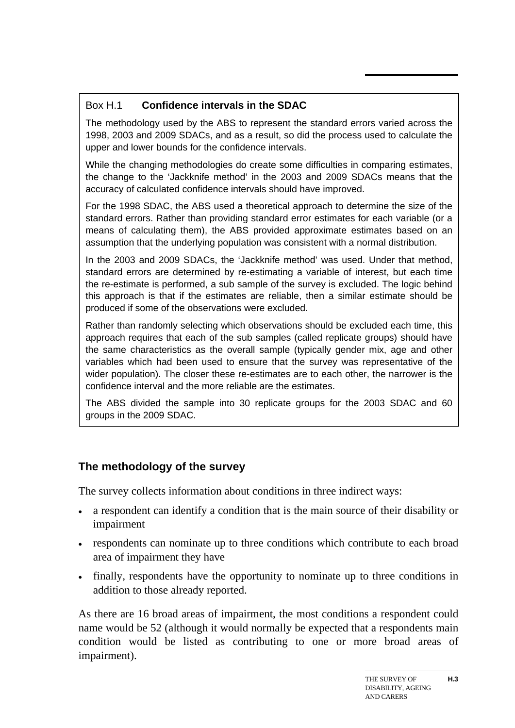## Box H.1 **Confidence intervals in the SDAC**

The methodology used by the ABS to represent the standard errors varied across the 1998, 2003 and 2009 SDACs, and as a result, so did the process used to calculate the upper and lower bounds for the confidence intervals.

While the changing methodologies do create some difficulties in comparing estimates, the change to the 'Jackknife method' in the 2003 and 2009 SDACs means that the accuracy of calculated confidence intervals should have improved.

For the 1998 SDAC, the ABS used a theoretical approach to determine the size of the standard errors. Rather than providing standard error estimates for each variable (or a means of calculating them), the ABS provided approximate estimates based on an assumption that the underlying population was consistent with a normal distribution.

In the 2003 and 2009 SDACs, the 'Jackknife method' was used. Under that method, standard errors are determined by re-estimating a variable of interest, but each time the re-estimate is performed, a sub sample of the survey is excluded. The logic behind this approach is that if the estimates are reliable, then a similar estimate should be produced if some of the observations were excluded.

Rather than randomly selecting which observations should be excluded each time, this approach requires that each of the sub samples (called replicate groups) should have the same characteristics as the overall sample (typically gender mix, age and other variables which had been used to ensure that the survey was representative of the wider population). The closer these re-estimates are to each other, the narrower is the confidence interval and the more reliable are the estimates.

The ABS divided the sample into 30 replicate groups for the 2003 SDAC and 60 groups in the 2009 SDAC.

# **The methodology of the survey**

The survey collects information about conditions in three indirect ways:

- a respondent can identify a condition that is the main source of their disability or impairment
- respondents can nominate up to three conditions which contribute to each broad area of impairment they have
- finally, respondents have the opportunity to nominate up to three conditions in addition to those already reported.

As there are 16 broad areas of impairment, the most conditions a respondent could name would be 52 (although it would normally be expected that a respondents main condition would be listed as contributing to one or more broad areas of impairment).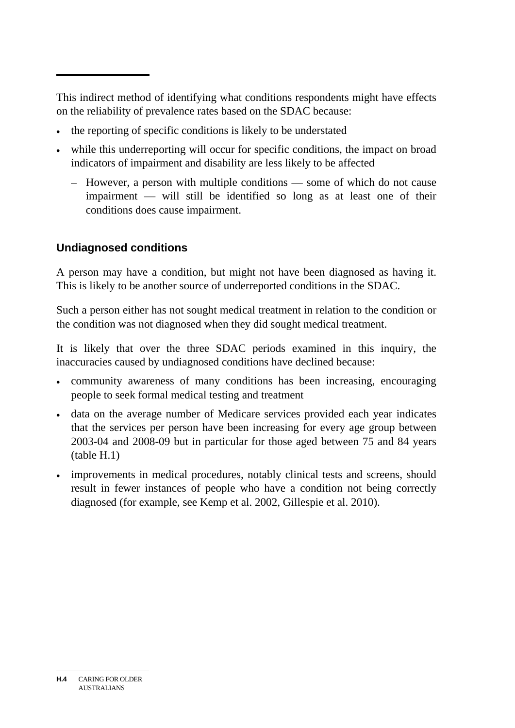This indirect method of identifying what conditions respondents might have effects on the reliability of prevalence rates based on the SDAC because:

- the reporting of specific conditions is likely to be understated
- while this underreporting will occur for specific conditions, the impact on broad indicators of impairment and disability are less likely to be affected
	- However, a person with multiple conditions some of which do not cause impairment — will still be identified so long as at least one of their conditions does cause impairment.

# **Undiagnosed conditions**

A person may have a condition, but might not have been diagnosed as having it. This is likely to be another source of underreported conditions in the SDAC.

Such a person either has not sought medical treatment in relation to the condition or the condition was not diagnosed when they did sought medical treatment.

It is likely that over the three SDAC periods examined in this inquiry, the inaccuracies caused by undiagnosed conditions have declined because:

- community awareness of many conditions has been increasing, encouraging people to seek formal medical testing and treatment
- data on the average number of Medicare services provided each year indicates that the services per person have been increasing for every age group between 2003-04 and 2008-09 but in particular for those aged between 75 and 84 years (table H.1)
- improvements in medical procedures, notably clinical tests and screens, should result in fewer instances of people who have a condition not being correctly diagnosed (for example, see Kemp et al. 2002, Gillespie et al. 2010).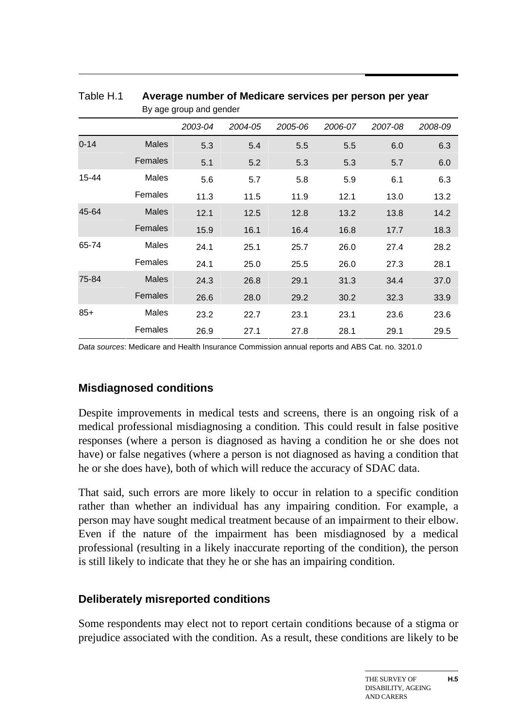|          | Dy aye yroup ariu yeriuer |         |         |         |         |         |         |  |  |  |  |
|----------|---------------------------|---------|---------|---------|---------|---------|---------|--|--|--|--|
|          |                           | 2003-04 | 2004-05 | 2005-06 | 2006-07 | 2007-08 | 2008-09 |  |  |  |  |
| $0 - 14$ | Males                     | 5.3     | 5.4     | 5.5     | 5.5     | 6.0     | 6.3     |  |  |  |  |
|          | Females                   | 5.1     | 5.2     | 5.3     | 5.3     | 5.7     | 6.0     |  |  |  |  |
| 15-44    | Males                     | 5.6     | 5.7     | 5.8     | 5.9     | 6.1     | 6.3     |  |  |  |  |
|          | Females                   | 11.3    | 11.5    | 11.9    | 12.1    | 13.0    | 13.2    |  |  |  |  |
| 45-64    | <b>Males</b>              | 12.1    | 12.5    | 12.8    | 13.2    | 13.8    | 14.2    |  |  |  |  |
|          | Females                   | 15.9    | 16.1    | 16.4    | 16.8    | 17.7    | 18.3    |  |  |  |  |
| 65-74    | Males                     | 24.1    | 25.1    | 25.7    | 26.0    | 27.4    | 28.2    |  |  |  |  |
|          | Females                   | 24.1    | 25.0    | 25.5    | 26.0    | 27.3    | 28.1    |  |  |  |  |
| 75-84    | Males                     | 24.3    | 26.8    | 29.1    | 31.3    | 34.4    | 37.0    |  |  |  |  |
|          | Females                   | 26.6    | 28.0    | 29.2    | 30.2    | 32.3    | 33.9    |  |  |  |  |
| $85+$    | Males                     | 23.2    | 22.7    | 23.1    | 23.1    | 23.6    | 23.6    |  |  |  |  |
|          | Females                   | 26.9    | 27.1    | 27.8    | 28.1    | 29.1    | 29.5    |  |  |  |  |

Table H.1 **Average number of Medicare services per person per year**  By age group and gender

*Data sources*: Medicare and Health Insurance Commission annual reports and ABS Cat. no. 3201.0

#### **Misdiagnosed conditions**

Despite improvements in medical tests and screens, there is an ongoing risk of a medical professional misdiagnosing a condition. This could result in false positive responses (where a person is diagnosed as having a condition he or she does not have) or false negatives (where a person is not diagnosed as having a condition that he or she does have), both of which will reduce the accuracy of SDAC data.

That said, such errors are more likely to occur in relation to a specific condition rather than whether an individual has any impairing condition. For example, a person may have sought medical treatment because of an impairment to their elbow. Even if the nature of the impairment has been misdiagnosed by a medical professional (resulting in a likely inaccurate reporting of the condition), the person is still likely to indicate that they he or she has an impairing condition.

#### **Deliberately misreported conditions**

Some respondents may elect not to report certain conditions because of a stigma or prejudice associated with the condition. As a result, these conditions are likely to be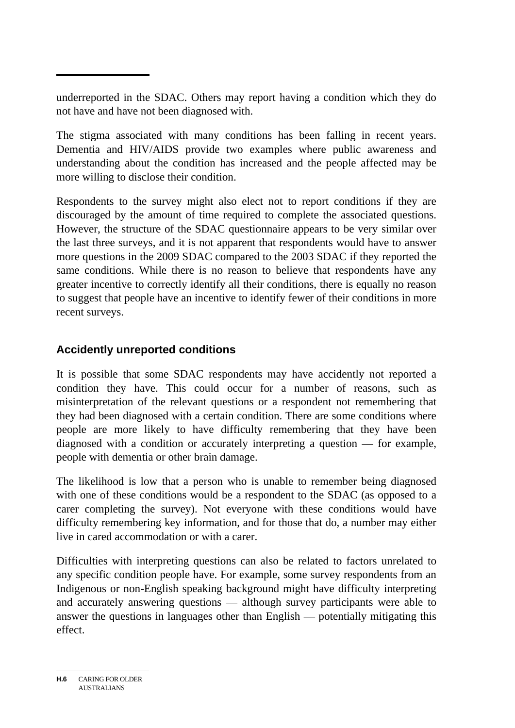underreported in the SDAC. Others may report having a condition which they do not have and have not been diagnosed with.

The stigma associated with many conditions has been falling in recent years. Dementia and HIV/AIDS provide two examples where public awareness and understanding about the condition has increased and the people affected may be more willing to disclose their condition.

Respondents to the survey might also elect not to report conditions if they are discouraged by the amount of time required to complete the associated questions. However, the structure of the SDAC questionnaire appears to be very similar over the last three surveys, and it is not apparent that respondents would have to answer more questions in the 2009 SDAC compared to the 2003 SDAC if they reported the same conditions. While there is no reason to believe that respondents have any greater incentive to correctly identify all their conditions, there is equally no reason to suggest that people have an incentive to identify fewer of their conditions in more recent surveys.

# **Accidently unreported conditions**

It is possible that some SDAC respondents may have accidently not reported a condition they have. This could occur for a number of reasons, such as misinterpretation of the relevant questions or a respondent not remembering that they had been diagnosed with a certain condition. There are some conditions where people are more likely to have difficulty remembering that they have been diagnosed with a condition or accurately interpreting a question — for example, people with dementia or other brain damage.

The likelihood is low that a person who is unable to remember being diagnosed with one of these conditions would be a respondent to the SDAC (as opposed to a carer completing the survey). Not everyone with these conditions would have difficulty remembering key information, and for those that do, a number may either live in cared accommodation or with a carer.

Difficulties with interpreting questions can also be related to factors unrelated to any specific condition people have. For example, some survey respondents from an Indigenous or non-English speaking background might have difficulty interpreting and accurately answering questions — although survey participants were able to answer the questions in languages other than English — potentially mitigating this effect.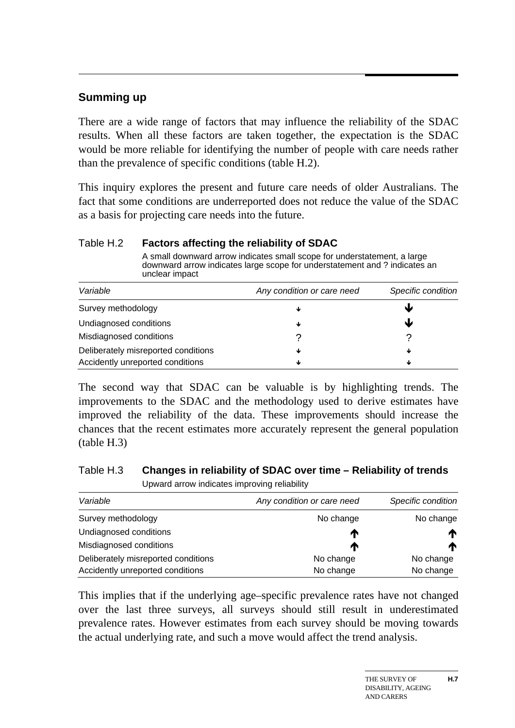#### **Summing up**

There are a wide range of factors that may influence the reliability of the SDAC results. When all these factors are taken together, the expectation is the SDAC would be more reliable for identifying the number of people with care needs rather than the prevalence of specific conditions (table H.2).

This inquiry explores the present and future care needs of older Australians. The fact that some conditions are underreported does not reduce the value of the SDAC as a basis for projecting care needs into the future.

#### Table H.2 **Factors affecting the reliability of SDAC**

A small downward arrow indicates small scope for understatement, a large downward arrow indicates large scope for understatement and ? indicates an unclear impact

| Variable                                                                | Any condition or care need | Specific condition |
|-------------------------------------------------------------------------|----------------------------|--------------------|
| Survey methodology                                                      | ◡                          | w                  |
| Undiagnosed conditions                                                  |                            | J                  |
| Misdiagnosed conditions                                                 |                            |                    |
| Deliberately misreported conditions<br>Accidently unreported conditions | ◡                          | ₩<br>₩             |

The second way that SDAC can be valuable is by highlighting trends. The improvements to the SDAC and the methodology used to derive estimates have improved the reliability of the data. These improvements should increase the chances that the recent estimates more accurately represent the general population (table H.3)

#### Table H.3 **Changes in reliability of SDAC over time – Reliability of trends**

Upward arrow indicates improving reliability

| Variable                            | Any condition or care need | Specific condition |
|-------------------------------------|----------------------------|--------------------|
| Survey methodology                  | No change                  | No change          |
| Undiagnosed conditions              | T                          | m                  |
| Misdiagnosed conditions             | m                          | m                  |
| Deliberately misreported conditions | No change                  | No change          |
| Accidently unreported conditions    | No change                  | No change          |

This implies that if the underlying age–specific prevalence rates have not changed over the last three surveys, all surveys should still result in underestimated prevalence rates. However estimates from each survey should be moving towards the actual underlying rate, and such a move would affect the trend analysis.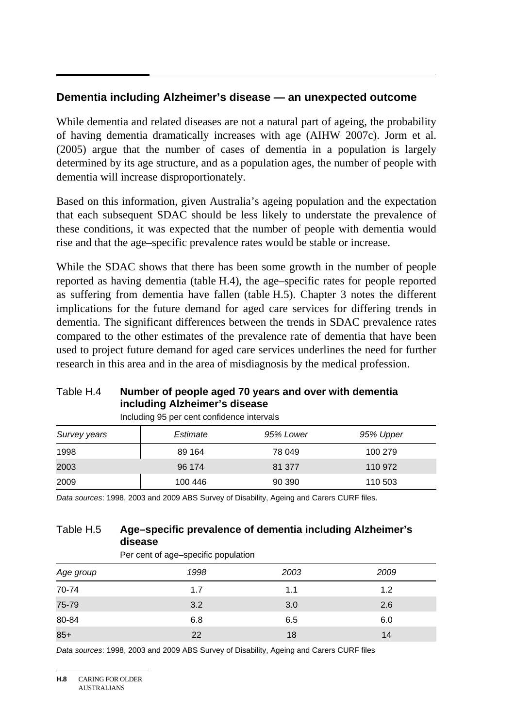#### **Dementia including Alzheimer's disease — an unexpected outcome**

While dementia and related diseases are not a natural part of ageing, the probability of having dementia dramatically increases with age (AIHW 2007c). Jorm et al. (2005) argue that the number of cases of dementia in a population is largely determined by its age structure, and as a population ages, the number of people with dementia will increase disproportionately.

Based on this information, given Australia's ageing population and the expectation that each subsequent SDAC should be less likely to understate the prevalence of these conditions, it was expected that the number of people with dementia would rise and that the age–specific prevalence rates would be stable or increase.

While the SDAC shows that there has been some growth in the number of people reported as having dementia (table H.4), the age–specific rates for people reported as suffering from dementia have fallen (table H.5). Chapter 3 notes the different implications for the future demand for aged care services for differing trends in dementia. The significant differences between the trends in SDAC prevalence rates compared to the other estimates of the prevalence rate of dementia that have been used to project future demand for aged care services underlines the need for further research in this area and in the area of misdiagnosis by the medical profession.

#### Table H.4 **Number of people aged 70 years and over with dementia including Alzheimer's disease**

| Survey years | Estimate | 95% Lower | 95% Upper |
|--------------|----------|-----------|-----------|
| 1998         | 89 164   | 78 049    | 100 279   |
| 2003         | 96 174   | 81 377    | 110 972   |
| 2009         | 100 446  | 90 390    | 110 503   |

Including 95 per cent confidence intervals

*Data sources*: 1998, 2003 and 2009 ABS Survey of Disability, Ageing and Carers CURF files.

#### Table H.5 **Age–specific prevalence of dementia including Alzheimer's disease**

|           | Per cent of age-specific population |      |      |  |  |  |  |  |  |  |
|-----------|-------------------------------------|------|------|--|--|--|--|--|--|--|
| Age group | 1998                                | 2003 | 2009 |  |  |  |  |  |  |  |
| 70-74     | 1.7                                 | 1.1  | 1.2  |  |  |  |  |  |  |  |
| 75-79     | 3.2                                 | 3.0  | 2.6  |  |  |  |  |  |  |  |
| 80-84     | 6.8                                 | 6.5  | 6.0  |  |  |  |  |  |  |  |
| $85+$     | 22                                  | 18   | 14   |  |  |  |  |  |  |  |

*Data sources*: 1998, 2003 and 2009 ABS Survey of Disability, Ageing and Carers CURF files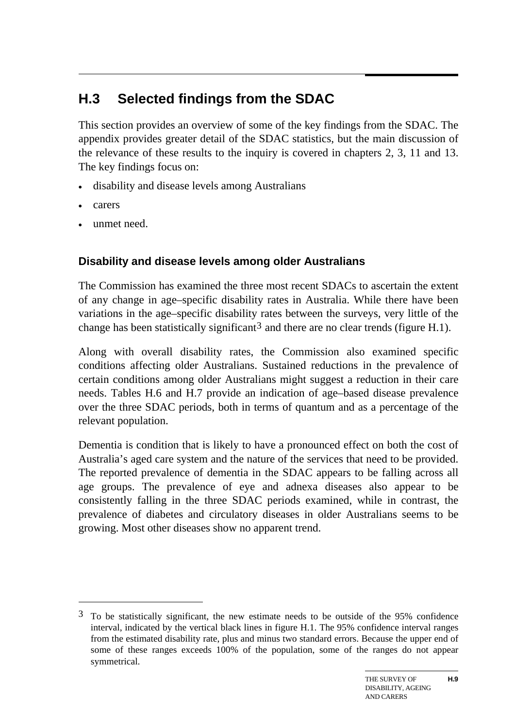# **H.3 Selected findings from the SDAC**

This section provides an overview of some of the key findings from the SDAC. The appendix provides greater detail of the SDAC statistics, but the main discussion of the relevance of these results to the inquiry is covered in chapters 2, 3, 11 and 13. The key findings focus on:

- disability and disease levels among Australians
- carers

1

unmet need.

# **Disability and disease levels among older Australians**

The Commission has examined the three most recent SDACs to ascertain the extent of any change in age–specific disability rates in Australia. While there have been variations in the age–specific disability rates between the surveys, very little of the change has been statistically significant<sup>[3](#page-1-1)</sup> and there are no clear trends (figure H.1).

Along with overall disability rates, the Commission also examined specific conditions affecting older Australians. Sustained reductions in the prevalence of certain conditions among older Australians might suggest a reduction in their care needs. Tables H.6 and H.7 provide an indication of age–based disease prevalence over the three SDAC periods, both in terms of quantum and as a percentage of the relevant population.

Dementia is condition that is likely to have a pronounced effect on both the cost of Australia's aged care system and the nature of the services that need to be provided. The reported prevalence of dementia in the SDAC appears to be falling across all age groups. The prevalence of eye and adnexa diseases also appear to be consistently falling in the three SDAC periods examined, while in contrast, the prevalence of diabetes and circulatory diseases in older Australians seems to be growing. Most other diseases show no apparent trend.

<sup>3</sup> To be statistically significant, the new estimate needs to be outside of the 95% confidence interval, indicated by the vertical black lines in figure H.1. The 95% confidence interval ranges from the estimated disability rate, plus and minus two standard errors. Because the upper end of some of these ranges exceeds 100% of the population, some of the ranges do not appear symmetrical.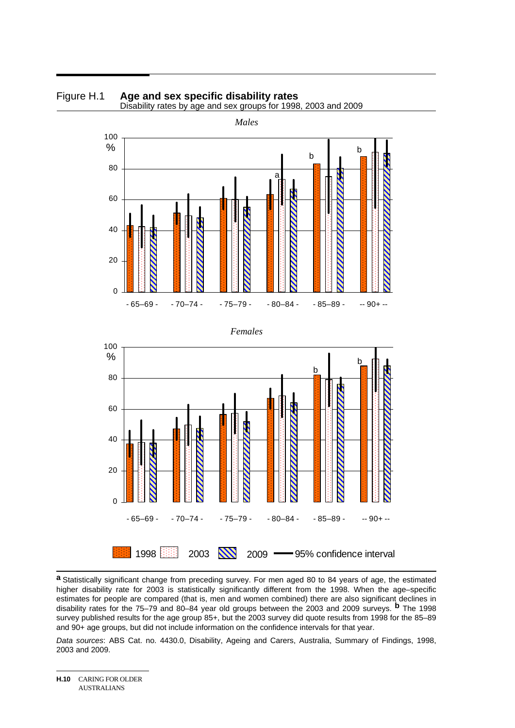





**a** Statistically significant change from preceding survey. For men aged 80 to 84 years of age, the estimated higher disability rate for 2003 is statistically significantly different from the 1998. When the age–specific estimates for people are compared (that is, men and women combined) there are also significant declines in disability rates for the 75–79 and 80–84 year old groups between the 2003 and 2009 surveys. **b** The 1998 survey published results for the age group 85+, but the 2003 survey did quote results from 1998 for the 85–89 and 90+ age groups, but did not include information on the confidence intervals for that year.

*Data sources*: ABS Cat. no. 4430.0, Disability, Ageing and Carers, Australia, Summary of Findings, 1998, 2003 and 2009.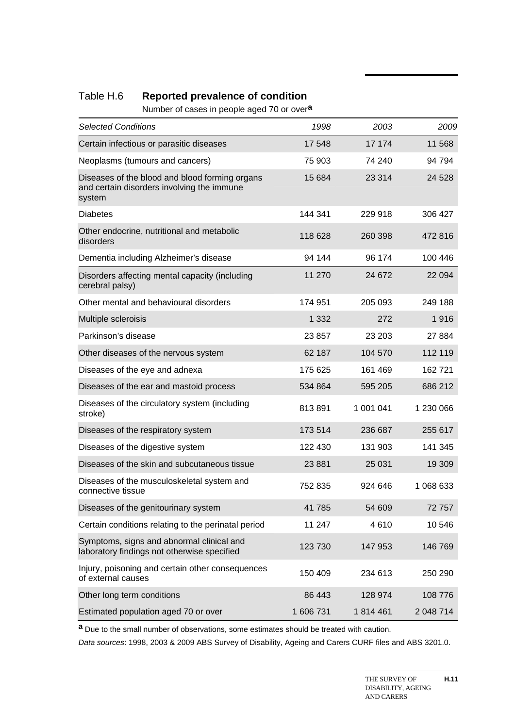#### Table H.6 **Reported prevalence of condition**

Number of cases in people aged 70 or over**a**

| <b>Selected Conditions</b>                                                                             | 1998      | 2003      | 2009      |
|--------------------------------------------------------------------------------------------------------|-----------|-----------|-----------|
| Certain infectious or parasitic diseases                                                               | 17548     | 17 174    | 11 568    |
| Neoplasms (tumours and cancers)                                                                        | 75 903    | 74 240    | 94 794    |
| Diseases of the blood and blood forming organs<br>and certain disorders involving the immune<br>system | 15 684    | 23 314    | 24 5 28   |
| <b>Diabetes</b>                                                                                        | 144 341   | 229 918   | 306 427   |
| Other endocrine, nutritional and metabolic<br>disorders                                                | 118 628   | 260 398   | 472 816   |
| Dementia including Alzheimer's disease                                                                 | 94 144    | 96 174    | 100 446   |
| Disorders affecting mental capacity (including<br>cerebral palsy)                                      | 11 270    | 24 672    | 22 094    |
| Other mental and behavioural disorders                                                                 | 174 951   | 205 093   | 249 188   |
| Multiple scleroisis                                                                                    | 1 3 3 2   | 272       | 1916      |
| Parkinson's disease                                                                                    | 23 857    | 23 203    | 27 8 84   |
| Other diseases of the nervous system                                                                   | 62 187    | 104 570   | 112 119   |
| Diseases of the eye and adnexa                                                                         | 175 625   | 161 469   | 162 721   |
| Diseases of the ear and mastoid process                                                                | 534 864   | 595 205   | 686 212   |
| Diseases of the circulatory system (including<br>stroke)                                               | 813891    | 1 001 041 | 1 230 066 |
| Diseases of the respiratory system                                                                     | 173 514   | 236 687   | 255 617   |
| Diseases of the digestive system                                                                       | 122 430   | 131 903   | 141 345   |
| Diseases of the skin and subcutaneous tissue                                                           | 23 8 8 1  | 25 031    | 19 309    |
| Diseases of the musculoskeletal system and<br>connective tissue                                        | 752 835   | 924 646   | 1 068 633 |
| Diseases of the genitourinary system                                                                   | 41785     | 54 609    | 72757     |
| Certain conditions relating to the perinatal period                                                    | 11 247    | 4610      | 10 546    |
| Symptoms, signs and abnormal clinical and<br>laboratory findings not otherwise specified               | 123 730   | 147 953   | 146 769   |
| Injury, poisoning and certain other consequences<br>of external causes                                 | 150 409   | 234 613   | 250 290   |
| Other long term conditions                                                                             | 86 443    | 128 974   | 108 776   |
| Estimated population aged 70 or over                                                                   | 1 606 731 | 1814461   | 2 048 714 |

**a** Due to the small number of observations, some estimates should be treated with caution.

*Data sources*: 1998, 2003 & 2009 ABS Survey of Disability, Ageing and Carers CURF files and ABS 3201.0.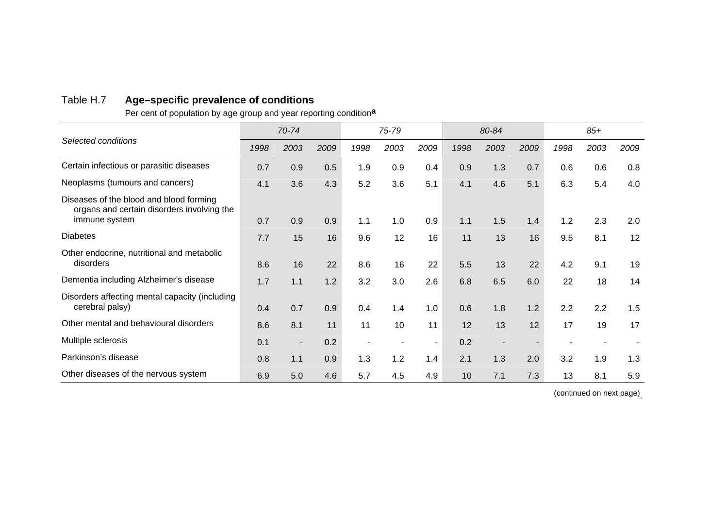# Table H.7 **Age–specific prevalence of conditions**

Per cent of population by age group and year reporting condition**<sup>a</sup>**

|                                                                                                        | 70-74 |                |      | 75-79 |      |        | 80-84 |      |      | $85+$ |      |      |
|--------------------------------------------------------------------------------------------------------|-------|----------------|------|-------|------|--------|-------|------|------|-------|------|------|
| Selected conditions                                                                                    | 1998  | 2003           | 2009 | 1998  | 2003 | 2009   | 1998  | 2003 | 2009 | 1998  | 2003 | 2009 |
| Certain infectious or parasitic diseases                                                               | 0.7   | 0.9            | 0.5  | 1.9   | 0.9  | 0.4    | 0.9   | 1.3  | 0.7  | 0.6   | 0.6  | 0.8  |
| Neoplasms (tumours and cancers)                                                                        | 4.1   | 3.6            | 4.3  | 5.2   | 3.6  | 5.1    | 4.1   | 4.6  | 5.1  | 6.3   | 5.4  | 4.0  |
| Diseases of the blood and blood forming<br>organs and certain disorders involving the<br>immune system | 0.7   | 0.9            | 0.9  | 1.1   | 1.0  | 0.9    | 1.1   | 1.5  | 1.4  | 1.2   | 2.3  | 2.0  |
| <b>Diabetes</b>                                                                                        | 7.7   | 15             | 16   | 9.6   | 12   | 16     | 11    | 13   | 16   | 9.5   | 8.1  | 12   |
| Other endocrine, nutritional and metabolic<br>disorders                                                | 8.6   | 16             | 22   | 8.6   | 16   | 22     | 5.5   | 13   | 22   | 4.2   | 9.1  | 19   |
| Dementia including Alzheimer's disease                                                                 | 1.7   | 1.1            | 1.2  | 3.2   | 3.0  | 2.6    | 6.8   | 6.5  | 6.0  | 22    | 18   | 14   |
| Disorders affecting mental capacity (including<br>cerebral palsy)                                      | 0.4   | 0.7            | 0.9  | 0.4   | 1.4  | 1.0    | 0.6   | 1.8  | 1.2  | 2.2   | 2.2  | 1.5  |
| Other mental and behavioural disorders                                                                 | 8.6   | 8.1            | 11   | 11    | 10   | 11     | 12    | 13   | 12   | 17    | 19   | 17   |
| Multiple sclerosis                                                                                     | 0.1   | $\blacksquare$ | 0.2  |       |      | $\sim$ | 0.2   |      |      |       |      |      |
| Parkinson's disease                                                                                    | 0.8   | 1.1            | 0.9  | 1.3   | 1.2  | 1.4    | 2.1   | 1.3  | 2.0  | 3.2   | 1.9  | 1.3  |
| Other diseases of the nervous system                                                                   | 6.9   | 5.0            | 4.6  | 5.7   | 4.5  | 4.9    | 10    | 7.1  | 7.3  | 13    | 8.1  | 5.9  |

(continued on next page) .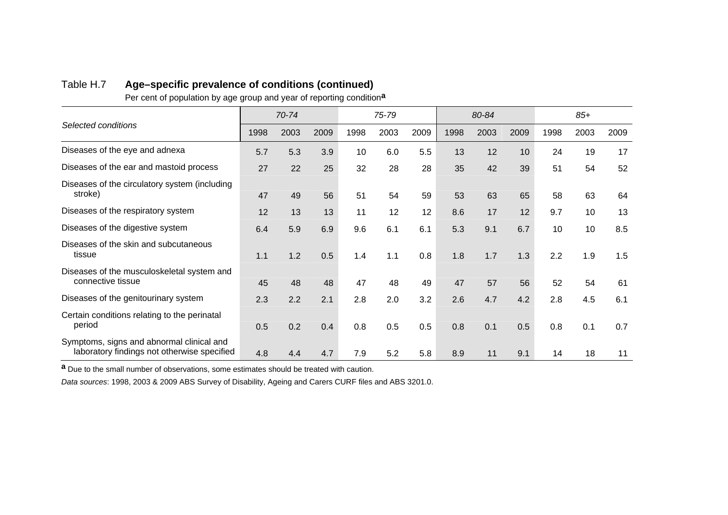#### Table H.7 **Age–specific prevalence of conditions (continued)**

Per cent of population by age group and year of reporting condition**<sup>a</sup>**

|                                                                                          |      | 70-74 |      |      | 75-79 |      |      | 80-84 |      |      | $85+$ |      |
|------------------------------------------------------------------------------------------|------|-------|------|------|-------|------|------|-------|------|------|-------|------|
| Selected conditions                                                                      | 1998 | 2003  | 2009 | 1998 | 2003  | 2009 | 1998 | 2003  | 2009 | 1998 | 2003  | 2009 |
| Diseases of the eye and adnexa                                                           | 5.7  | 5.3   | 3.9  | 10   | 6.0   | 5.5  | 13   | 12    | 10   | 24   | 19    | 17   |
| Diseases of the ear and mastoid process                                                  | 27   | 22    | 25   | 32   | 28    | 28   | 35   | 42    | 39   | 51   | 54    | 52   |
| Diseases of the circulatory system (including<br>stroke)                                 | 47   | 49    | 56   | 51   | 54    | 59   | 53   | 63    | 65   | 58   | 63    | 64   |
| Diseases of the respiratory system                                                       | 12   | 13    | 13   | 11   | 12    | 12   | 8.6  | 17    | 12   | 9.7  | 10    | 13   |
| Diseases of the digestive system                                                         | 6.4  | 5.9   | 6.9  | 9.6  | 6.1   | 6.1  | 5.3  | 9.1   | 6.7  | 10   | 10    | 8.5  |
| Diseases of the skin and subcutaneous<br>tissue                                          | 1.1  | 1.2   | 0.5  | 1.4  | 1.1   | 0.8  | 1.8  | 1.7   | 1.3  | 2.2  | 1.9   | 1.5  |
| Diseases of the musculoskeletal system and<br>connective tissue                          | 45   | 48    | 48   | 47   | 48    | 49   | 47   | 57    | 56   | 52   | 54    | 61   |
| Diseases of the genitourinary system                                                     | 2.3  | 2.2   | 2.1  | 2.8  | 2.0   | 3.2  | 2.6  | 4.7   | 4.2  | 2.8  | 4.5   | 6.1  |
| Certain conditions relating to the perinatal<br>period                                   | 0.5  | 0.2   | 0.4  | 0.8  | 0.5   | 0.5  | 0.8  | 0.1   | 0.5  | 0.8  | 0.1   | 0.7  |
| Symptoms, signs and abnormal clinical and<br>laboratory findings not otherwise specified | 4.8  | 4.4   | 4.7  | 7.9  | 5.2   | 5.8  | 8.9  | 11    | 9.1  | 14   | 18    | 11   |

**<sup>a</sup>**Due to the small number of observations, some estimates should be treated with caution.

*Data sources*: 1998, 2003 & 2009 ABS Survey of Disability, Ageing and Carers CURF files and ABS 3201.0.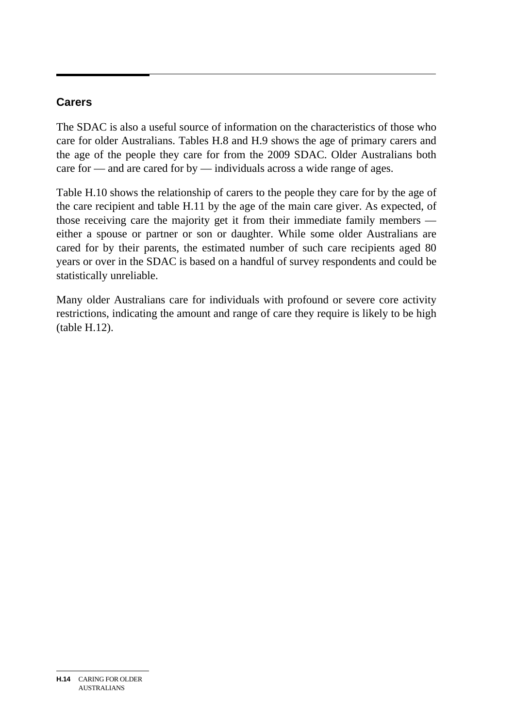## **Carers**

The SDAC is also a useful source of information on the characteristics of those who care for older Australians. Tables H.8 and H.9 shows the age of primary carers and the age of the people they care for from the 2009 SDAC. Older Australians both care for — and are cared for by — individuals across a wide range of ages.

Table H.10 shows the relationship of carers to the people they care for by the age of the care recipient and table H.11 by the age of the main care giver. As expected, of those receiving care the majority get it from their immediate family members either a spouse or partner or son or daughter. While some older Australians are cared for by their parents, the estimated number of such care recipients aged 80 years or over in the SDAC is based on a handful of survey respondents and could be statistically unreliable.

Many older Australians care for individuals with profound or severe core activity restrictions, indicating the amount and range of care they require is likely to be high (table H.12).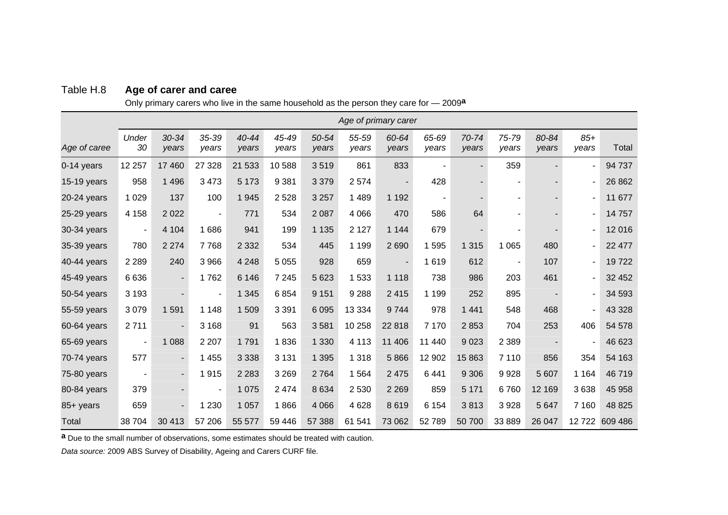| Table H.8 | Age of carer and caree |  |  |  |
|-----------|------------------------|--|--|--|
|-----------|------------------------|--|--|--|

Only primary carers who live in the same household as the person they care for — 2009**<sup>a</sup>**

|              | Age of primary carer     |                    |                          |                |                |                |                |                |                |                          |                          |                |                |                |
|--------------|--------------------------|--------------------|--------------------------|----------------|----------------|----------------|----------------|----------------|----------------|--------------------------|--------------------------|----------------|----------------|----------------|
| Age of caree | Under<br>30              | $30 - 34$<br>years | 35-39<br>years           | 40-44<br>years | 45-49<br>years | 50-54<br>years | 55-59<br>years | 60-64<br>years | 65-69<br>years | 70-74<br>years           | 75-79<br>vears           | 80-84<br>years | $85+$<br>years | Total          |
| 0-14 years   | 12 257                   | 17 460             | 27 3 28                  | 21 533         | 10588          | 3519           | 861            | 833            |                | $\blacksquare$           | 359                      |                | $\blacksquare$ | 94 737         |
| 15-19 years  | 958                      | 1 4 9 6            | 3 4 7 3                  | 5 1 7 3        | 9 3 8 1        | 3 3 7 9        | 2574           |                | 428            | $\overline{\phantom{a}}$ | ۰                        |                | $\blacksquare$ | 26 862         |
| 20-24 years  | 1 0 2 9                  | 137                | 100                      | 1945           | 2 5 2 8        | 3 2 5 7        | 1 4 8 9        | 1 1 9 2        | $\blacksquare$ |                          |                          |                |                | 11 677         |
| 25-29 years  | 4 1 5 8                  | 2 0 2 2            | $\blacksquare$           | 771            | 534            | 2 0 8 7        | 4 0 6 6        | 470            | 586            | 64                       |                          |                |                | 14757          |
| 30-34 years  | $\overline{\phantom{0}}$ | 4 1 0 4            | 1686                     | 941            | 199            | 1 1 3 5        | 2 1 2 7        | 1 1 4 4        | 679            |                          |                          |                |                | 12016          |
| 35-39 years  | 780                      | 2 2 7 4            | 7768                     | 2 3 3 2        | 534            | 445            | 1 1 9 9        | 2690           | 1595           | 1 3 1 5                  | 1 0 6 5                  | 480            | $\blacksquare$ | 22 477         |
| 40-44 years  | 2 2 8 9                  | 240                | 3 9 6 6                  | 4 2 4 8        | 5 0 5 5        | 928            | 659            |                | 1619           | 612                      | $\overline{\phantom{a}}$ | 107            |                | 19722          |
| 45-49 years  | 6636                     |                    | 1762                     | 6 1 4 6        | 7 2 4 5        | 5 6 23         | 1533           | 1 1 1 8        | 738            | 986                      | 203                      | 461            |                | 32 452         |
| 50-54 years  | 3 1 9 3                  |                    | $\overline{\phantom{a}}$ | 1 3 4 5        | 6854           | 9 1 5 1        | 9 2 8 8        | 2 4 1 5        | 1 1 9 9        | 252                      | 895                      |                |                | 34 593         |
| 55-59 years  | 3 0 7 9                  | 1 5 9 1            | 1 1 4 8                  | 1509           | 3 3 9 1        | 6 0 9 5        | 13 3 34        | 9744           | 978            | 1 4 4 1                  | 548                      | 468            |                | 43 3 28        |
| 60-64 years  | 2711                     |                    | 3 1 6 8                  | 91             | 563            | 3581           | 10 258         | 22 818         | 7 1 7 0        | 2853                     | 704                      | 253            | 406            | 54 578         |
| 65-69 years  | $\blacksquare$           | 1 0 8 8            | 2 2 0 7                  | 1791           | 1836           | 1 3 3 0        | 4 1 1 3        | 11 40 6        | 11 440         | 9 0 23                   | 2 3 8 9                  |                |                | 46 623         |
| 70-74 years  | 577                      |                    | 1 4 5 5                  | 3 3 3 8        | 3 1 3 1        | 1 3 9 5        | 1 3 1 8        | 5866           | 12 902         | 15 863                   | 7 1 1 0                  | 856            | 354            | 54 163         |
| 75-80 years  | ٠                        |                    | 1915                     | 2 2 8 3        | 3 2 6 9        | 2 7 6 4        | 1564           | 2 4 7 5        | 6441           | 9 3 0 6                  | 9928                     | 5 607          | 1 1 6 4        | 46719          |
| 80-84 years  | 379                      |                    | $\overline{\phantom{a}}$ | 1 0 7 5        | 2 4 7 4        | 8634           | 2 5 3 0        | 2 2 6 9        | 859            | 5 1 7 1                  | 6760                     | 12 169         | 3638           | 45 958         |
| 85+ years    | 659                      |                    | 1 2 3 0                  | 1 0 5 7        | 1866           | 4 0 6 6        | 4628           | 8619           | 6 1 5 4        | 3813                     | 3928                     | 5 6 4 7        | 7 1 6 0        | 48 8 25        |
| Total        | 38 704                   | 30 413             | 57 206                   | 55 577         | 59 446         | 57 388         | 61 541         | 73 062         | 52789          | 50 700                   | 33 889                   | 26 047         |                | 12 722 609 486 |

**<sup>a</sup>**Due to the small number of observations, some estimates should be treated with caution.

*Data source:* 2009 ABS Survey of Disability, Ageing and Carers CURF file.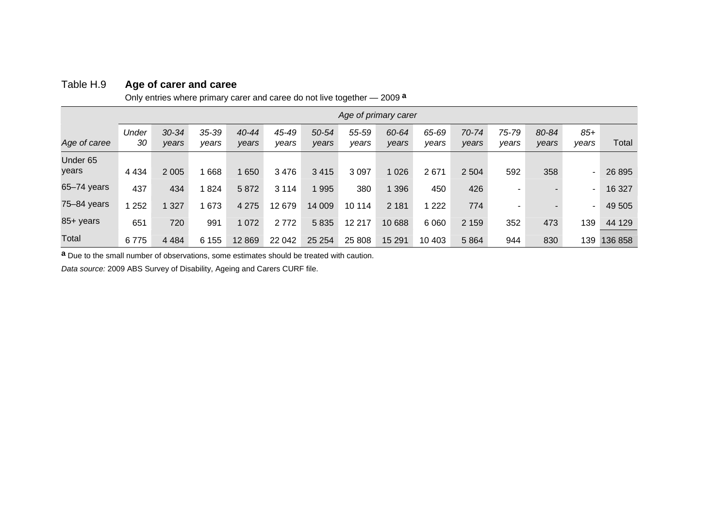|                              | Only entities writere primary care and caree do not live together — 2009 - |                    |                    |                    |                |                |                |                      |                |                |                |                          |                |         |
|------------------------------|----------------------------------------------------------------------------|--------------------|--------------------|--------------------|----------------|----------------|----------------|----------------------|----------------|----------------|----------------|--------------------------|----------------|---------|
|                              |                                                                            |                    |                    |                    |                |                |                | Age of primary carer |                |                |                |                          |                |         |
| Age of caree                 | Under<br>30                                                                | $30 - 34$<br>years | $35 - 39$<br>vears | $40 - 44$<br>years | 45-49<br>years | 50-54<br>years | 55-59<br>years | 60-64<br>years       | 65-69<br>years | 70-74<br>years | 75-79<br>years | 80-84<br>years           | $85+$<br>years | Total   |
| Under <sub>65</sub><br>years | 4 4 3 4                                                                    | 2 0 0 5            | 668                | 650                | 3476           | 3 4 1 5        | 3 0 9 7        | 1 0 2 6              | 2671           | 2 5 0 4        | 592            | 358                      | ٠              | 26 8 95 |
| $65 - 74$ years              | 437                                                                        | 434                | 824                | 5872               | 3 1 1 4        | 1 995          | 380            | 1 3 9 6              | 450            | 426            |                |                          | ٠              | 16 327  |
| 75-84 years                  | 252                                                                        | 1 327              | 673                | 4 2 7 5            | 12679          | 14 009         | 10 114         | 2 1 8 1              | 1 222          | 774            | ٠              | $\overline{\phantom{a}}$ | ٠              | 49 505  |
| 85+ years                    | 651                                                                        | 720                | 991                | 1 0 7 2            | 2 7 7 2        | 5835           | 12 217         | 10 688               | 6 0 6 0        | 2 1 5 9        | 352            | 473                      | 139            | 44 129  |
| Total                        | 6775                                                                       | 4 4 8 4            | 6 1 5 5            | 12869              | 22 042         | 25 254         | 25 808         | 15 291               | 10 403         | 5 8 6 4        | 944            | 830                      | 139            | 136 858 |

#### Table H.9 **Age of carer and caree**

Only entries where primary carer and caree do not live together — 2009**<sup>a</sup>**

**a** Due to the small number of observations, some estimates should be treated with caution.

*Data source:* 2009 ABS Survey of Disability, Ageing and Carers CURF file.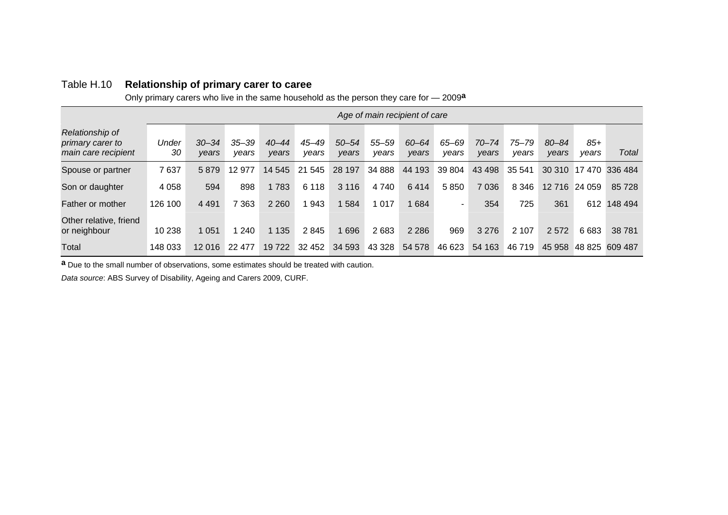|  | Table H.10 Relationship of primary carer to caree |
|--|---------------------------------------------------|
|--|---------------------------------------------------|

Only primary carers who live in the same household as the person they care for — 2009**<sup>a</sup>**

|                                                            | Age of main recipient of care |                    |                    |                    |                |                    |                |                |                |                    |                    |                    |                |         |
|------------------------------------------------------------|-------------------------------|--------------------|--------------------|--------------------|----------------|--------------------|----------------|----------------|----------------|--------------------|--------------------|--------------------|----------------|---------|
| Relationship of<br>primary carer to<br>main care recipient | Under<br>30                   | $30 - 34$<br>vears | $35 - 39$<br>vears | $40 - 44$<br>vears | 45–49<br>vears | $50 - 54$<br>years | 55–59<br>vears | 60-64<br>vears | 65–69<br>vears | $70 - 74$<br>vears | $75 - 79$<br>vears | $80 - 84$<br>vears | $85+$<br>vears | Total   |
| Spouse or partner                                          | 7637                          | 5879               | 12 977             | 14 545             | 21 545         | 28 197             | 34 888         | 44 193         | 39 804         | 43 498             | 35 541             |                    | 30 310 17 470  | 336 484 |
| Son or daughter                                            | 4 0 5 8                       | 594                | 898                | 1783               | 6 1 1 8        | 3 1 1 6            | 4 740          | 6414           | 5850           | 7 0 3 6            | 8 3 4 6            | 12 716             | 24 059         | 85 728  |
| Father or mother                                           | 126 100                       | 4 4 9 1            | 363                | 2 2 6 0            | 943            | 584                | 1 0 1 7        | 1684           | ۰              | 354                | 725                | 361                | 612            | 148 494 |
| Other relative, friend<br>or neighbour                     | 10 238                        | 1 0 5 1            | 240                | 1 1 3 5            | 2845           | 1696               | 2683           | 2 2 8 6        | 969            | 3 2 7 6            | 2 1 0 7            | 2572               | 6683           | 38 781  |
| Total                                                      | 148 033                       | 12 016             | 22 477             | 19722              | 32 452         | 34 593             | 43 3 28        | 54 578         | 46 623         | 54 163             | 46 719             | 45 958             | 48 825         | 609 487 |

**<sup>a</sup>**Due to the small number of observations, some estimates should be treated with caution.

*Data source*: ABS Survey of Disability, Ageing and Carers 2009, CURF.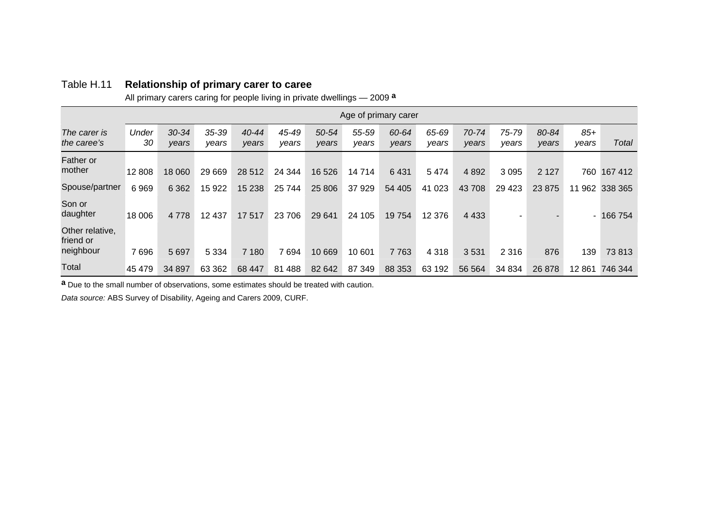#### Table H.11 **Relationship of primary carer to caree**

All primary carers caring for people living in private dwellings — 2009**<sup>a</sup>**

|                                           | Age of primary carer |                    |                    |                    |                |                |                |                |                |                |                |                |                |                |
|-------------------------------------------|----------------------|--------------------|--------------------|--------------------|----------------|----------------|----------------|----------------|----------------|----------------|----------------|----------------|----------------|----------------|
| The carer is<br>the caree's               | Under<br>30          | $30 - 34$<br>years | $35 - 39$<br>vears | $40 - 44$<br>years | 45-49<br>vears | 50-54<br>years | 55-59<br>years | 60-64<br>vears | 65-69<br>years | 70-74<br>vears | 75-79<br>years | 80-84<br>years | $85+$<br>vears | Total          |
| Father or<br>mother                       | 12 808               | 18 060             | 29 669             | 28 5 12            | 24 344         | 16 526         | 14714          | 6431           | 5474           | 4 8 9 2        | 3 0 9 5        | 2 1 2 7        | 760            | 167 412        |
| Spouse/partner                            | 6969                 | 6 3 6 2            | 15 922             | 15 2 38            | 25 744         | 25 806         | 37929          | 54 405         | 41 0 23        | 43 708         | 29 4 23        | 23 875         |                | 11 962 338 365 |
| Son or<br>daughter                        | 18 006               | 4 7 7 8            | 12 437             | 17 517             | 23 706         | 29 641         | 24 105         | 19754          | 12 376         | 4 4 3 3        | ٠              |                | ٠.             | 166 754        |
| Other relative,<br>friend or<br>neighbour | 7696                 | 5 6 9 7            | 5 3 3 4            | 7 180              | 7694           | 10 669         | 10 601         | 7763           | 4 3 1 8        | 3531           | 2 3 1 6        | 876            | 139            | 73813          |
| Total                                     | 45 479               | 34 897             | 63 362             | 68 447             | 81 4 88        | 82 642         | 87 349         | 88 353         | 63 192         | 56 564         | 34 834         | 26 878         | 12861          | 746 344        |

**<sup>a</sup>**Due to the small number of observations, some estimates should be treated with caution.

*Data source:* ABS Survey of Disability, Ageing and Carers 2009, CURF.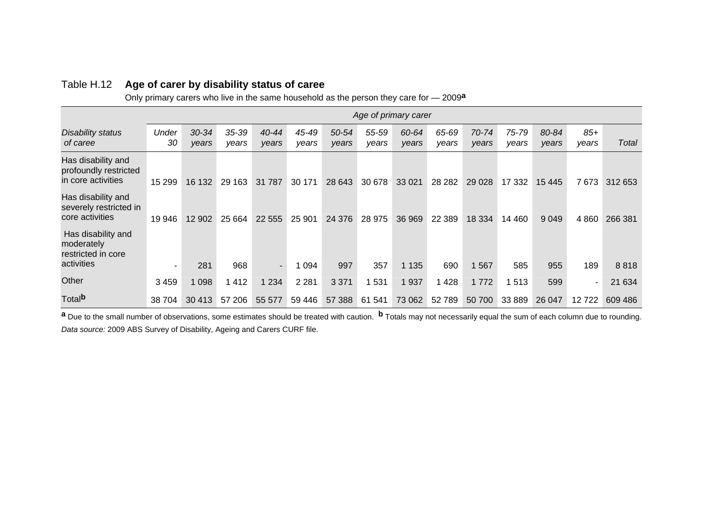#### Table H.12 **Age of carer by disability status of caree**

Only primary carers who live in the same household as the person they care for — 2009**<sup>a</sup>**

|                                                                      | Age of primary carer |                    |                |                |                |                |                |                |                |                |                |                |                |         |
|----------------------------------------------------------------------|----------------------|--------------------|----------------|----------------|----------------|----------------|----------------|----------------|----------------|----------------|----------------|----------------|----------------|---------|
| <b>Disability status</b><br>of caree                                 | Under<br>30          | $30 - 34$<br>years | 35-39<br>years | 40-44<br>years | 45-49<br>years | 50-54<br>years | 55-59<br>years | 60-64<br>years | 65-69<br>years | 70-74<br>years | 75-79<br>years | 80-84<br>years | $85+$<br>years | Total   |
| Has disability and<br>profoundly restricted<br>in core activities    | 15 299               | 16 132             | 29 163         | 31 787         | 30 171         | 28 643         | 30 678         | 33 0 21        | 28 28 2        | 29 0 28        | 17 332         | 15 445         | 7673           | 312 653 |
| Has disability and<br>severely restricted in<br>core activities      | 19 946               | 12 902             | 25 6 64        | 22 5 5 5       | 25 901         | 24 376         | 28 975         | 36 969         | 22 3 89        | 18 3 34        | 14 460         | 9 0 4 9        | 4 8 6 0        | 266 381 |
| Has disability and<br>moderately<br>restricted in core<br>activities | $\blacksquare$       | 281                | 968            | $\sim$         | 1 0 9 4        | 997            | 357            | 1 1 3 5        | 690            | 1 5 6 7        | 585            | 955            | 189            | 8818    |
| Other                                                                | 3 4 5 9              | 1 0 9 8            | 1412           | 1 2 3 4        | 2 2 8 1        | 3 3 7 1        | 531            | 1 9 3 7        | 428            | 1772           | 513            | 599            |                | 21 634  |
| Total <sup>b</sup>                                                   | 38 704               | 30 413             | 57 206         | 55 577         | 59 446         | 57 388         | 61 541         | 73 062         | 52789          | 50 700         | 33 889         | 26 047         | 12722          | 609 486 |

**a** Due to the small number of observations, some estimates should be treated with caution. **b** Totals may not necessarily equal the sum of each column due to rounding. *Data source:* 2009 ABS Survey of Disability, Ageing and Carers CURF file.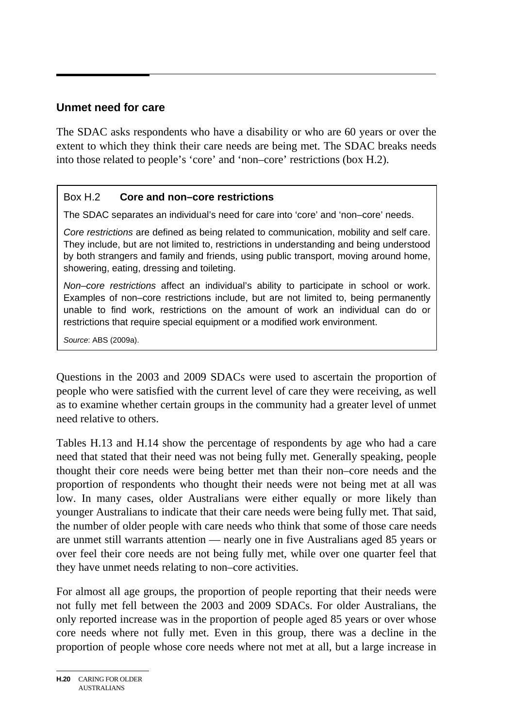## **Unmet need for care**

The SDAC asks respondents who have a disability or who are 60 years or over the extent to which they think their care needs are being met. The SDAC breaks needs into those related to people's 'core' and 'non–core' restrictions (box H.2).

#### Box H.2 **Core and non–core restrictions**

The SDAC separates an individual's need for care into 'core' and 'non–core' needs.

*Core restrictions* are defined as being related to communication, mobility and self care. They include, but are not limited to, restrictions in understanding and being understood by both strangers and family and friends, using public transport, moving around home, showering, eating, dressing and toileting.

*Non–core restrictions* affect an individual's ability to participate in school or work. Examples of non–core restrictions include, but are not limited to, being permanently unable to find work, restrictions on the amount of work an individual can do or restrictions that require special equipment or a modified work environment.

*Source*: ABS (2009a).

Questions in the 2003 and 2009 SDACs were used to ascertain the proportion of people who were satisfied with the current level of care they were receiving, as well as to examine whether certain groups in the community had a greater level of unmet need relative to others.

Tables H.13 and H.14 show the percentage of respondents by age who had a care need that stated that their need was not being fully met. Generally speaking, people thought their core needs were being better met than their non–core needs and the proportion of respondents who thought their needs were not being met at all was low. In many cases, older Australians were either equally or more likely than younger Australians to indicate that their care needs were being fully met. That said, the number of older people with care needs who think that some of those care needs are unmet still warrants attention — nearly one in five Australians aged 85 years or over feel their core needs are not being fully met, while over one quarter feel that they have unmet needs relating to non–core activities.

For almost all age groups, the proportion of people reporting that their needs were not fully met fell between the 2003 and 2009 SDACs. For older Australians, the only reported increase was in the proportion of people aged 85 years or over whose core needs where not fully met. Even in this group, there was a decline in the proportion of people whose core needs where not met at all, but a large increase in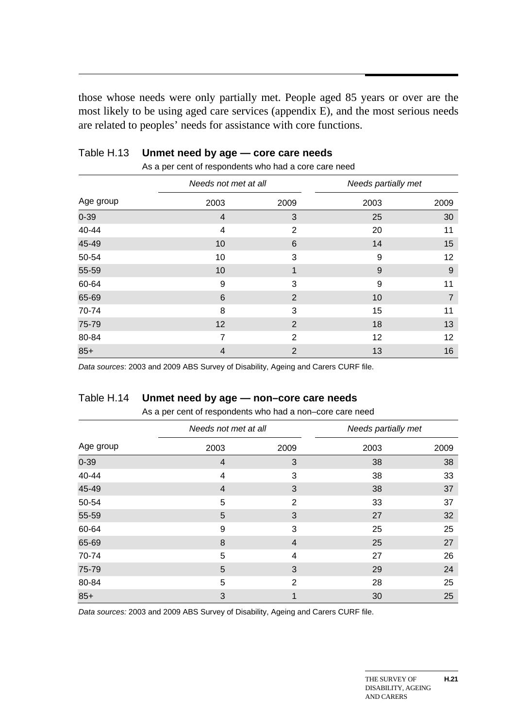those whose needs were only partially met. People aged 85 years or over are the most likely to be using aged care services (appendix E), and the most serious needs are related to peoples' needs for assistance with core functions.

|           | Needs not met at all |                 |      | Needs partially met |
|-----------|----------------------|-----------------|------|---------------------|
| Age group | 2003                 | 2009            | 2003 | 2009                |
| $0 - 39$  | $\overline{4}$       | 3               | 25   | 30                  |
| 40-44     | 4                    | 2               | 20   | 11                  |
| 45-49     | 10                   | $6\phantom{1}6$ | 14   | 15                  |
| 50-54     | 10                   | 3               | 9    | 12                  |
| 55-59     | 10                   | $\mathbf 1$     | 9    | 9                   |
| 60-64     | 9                    | 3               | 9    | 11                  |
| 65-69     | 6                    | $\overline{2}$  | 10   | $\overline{7}$      |
| 70-74     | 8                    | 3               | 15   | 11                  |
| 75-79     | 12                   | 2               | 18   | 13                  |
| 80-84     | $\overline{7}$       | $\overline{2}$  | 12   | 12                  |
| $85+$     | $\overline{4}$       | $\overline{2}$  | 13   | 16                  |

# Table H.13 **Unmet need by age — core care needs**

As a per cent of respondents who had a core care need

*Data sources*: 2003 and 2009 ABS Survey of Disability, Ageing and Carers CURF file.

#### Table H.14 **Unmet need by age — non–core care needs**

|           | Needs not met at all |                | Needs partially met |      |  |
|-----------|----------------------|----------------|---------------------|------|--|
| Age group | 2003                 | 2009           | 2003                | 2009 |  |
| $0 - 39$  | 4                    | 3              | 38                  | 38   |  |
| 40-44     | 4                    | 3              | 38                  | 33   |  |
| 45-49     | 4                    | 3              | 38                  | 37   |  |
| 50-54     | 5                    | $\overline{2}$ | 33                  | 37   |  |
| 55-59     | 5                    | 3              | 27                  | 32   |  |
| 60-64     | 9                    | 3              | 25                  | 25   |  |
| 65-69     | 8                    | 4              | 25                  | 27   |  |
| 70-74     | 5                    | 4              | 27                  | 26   |  |
| 75-79     | 5                    | 3              | 29                  | 24   |  |
| 80-84     | 5                    | $\overline{2}$ | 28                  | 25   |  |
| $85+$     | 3                    | 1              | 30                  | 25   |  |

As a per cent of respondents who had a non–core care need

*Data sources:* 2003 and 2009 ABS Survey of Disability, Ageing and Carers CURF file.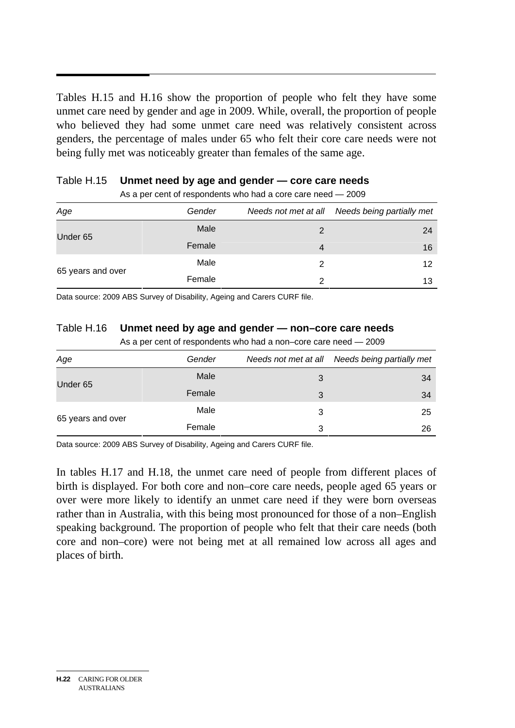Tables H.15 and H.16 show the proportion of people who felt they have some unmet care need by gender and age in 2009. While, overall, the proportion of people who believed they had some unmet care need was relatively consistent across genders, the percentage of males under 65 who felt their core care needs were not being fully met was noticeably greater than females of the same age.

| As a por control respondents who had a core care need.<br>້∠ບບບ |        |                      |                           |  |  |  |
|-----------------------------------------------------------------|--------|----------------------|---------------------------|--|--|--|
| Age                                                             | Gender | Needs not met at all | Needs being partially met |  |  |  |
| Under 65                                                        | Male   | 2                    | 24                        |  |  |  |
|                                                                 | Female | 4                    | 16                        |  |  |  |
| 65 years and over                                               | Male   | 2                    | 12                        |  |  |  |
|                                                                 | Female |                      | 13                        |  |  |  |

|  | Table H.15 Unmet need by age and gender - core care needs |
|--|-----------------------------------------------------------|
|--|-----------------------------------------------------------|

 $\Delta s$  a per cent of respondents who had a core care need  $-2009$ 

Data source: 2009 ABS Survey of Disability, Ageing and Carers CURF file.

#### Table H.16 **Unmet need by age and gender — non–core care needs**

|  |  | As a per cent of respondents who had a non-core care need - 2009 |
|--|--|------------------------------------------------------------------|
|  |  |                                                                  |

| Age               | Gender | Needs not met at all | Needs being partially met |
|-------------------|--------|----------------------|---------------------------|
| Under 65          | Male   | 3                    | 34                        |
|                   | Female | 3                    | 34                        |
|                   | Male   | 3                    | 25                        |
| 65 years and over | Female | 3                    | 26                        |

Data source: 2009 ABS Survey of Disability, Ageing and Carers CURF file.

In tables H.17 and H.18, the unmet care need of people from different places of birth is displayed. For both core and non–core care needs, people aged 65 years or over were more likely to identify an unmet care need if they were born overseas rather than in Australia, with this being most pronounced for those of a non–English speaking background. The proportion of people who felt that their care needs (both core and non–core) were not being met at all remained low across all ages and places of birth.